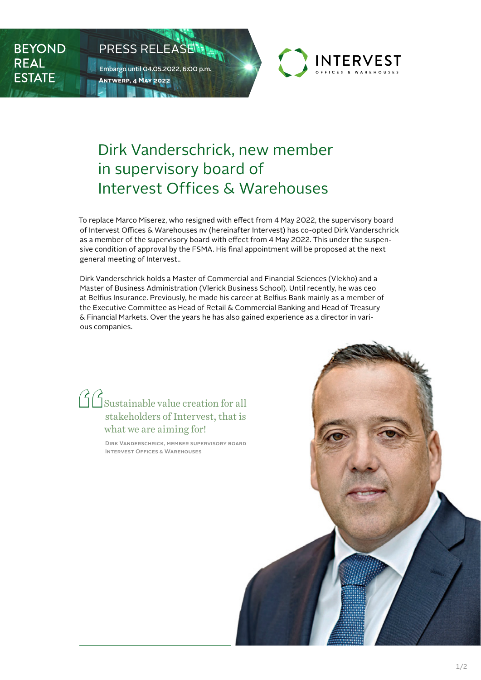**BEYOND REAL ESTATE** 



To replace Marco Miserez, who resigned with effect from 4 May 2022, the supervisory board of Intervest Offices & Warehouses nv (hereinafter Intervest) has co-opted Dirk Vanderschrick as a member of the supervisory board with effect from 4 May 2022. This under the suspensive condition of approval by the FSMA. His final appointment will be proposed at the next general meeting of Intervest..

Dirk Vanderschrick holds a Master of Commercial and Financial Sciences (Vlekho) and a Master of Business Administration (Vlerick Business School). Until recently, he was ceo at Belfius Insurance. Previously, he made his career at Belfius Bank mainly as a member of the Executive Committee as Head of Retail & Commercial Banking and Head of Treasury & Financial Markets. Over the years he has also gained experience as a director in various companies.

## **"**Sustainable value creation for all stakeholders of Intervest, that is what we are aiming for!

PRESS RELEASE

**Antwerp, 4 May 2022**

Embargo until 04.05.2022, 6:00 p.m.

Dirk Vanderschrick, member supervisory board Intervest Offices & Warehouses



**INTERVEST**